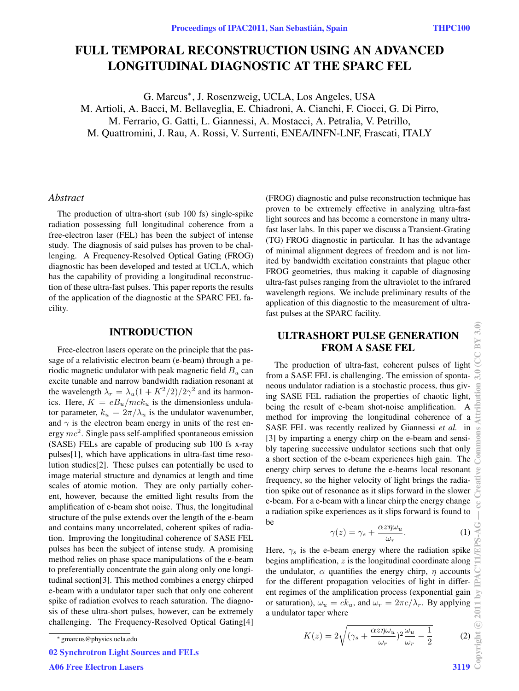# FULL TEMPORAL RECONSTRUCTION USING AN ADVANCED LONGITUDINAL DIAGNOSTIC AT THE SPARC FEL

G. Marcus<sup>∗</sup> , J. Rosenzweig, UCLA, Los Angeles, USA M. Artioli, A. Bacci, M. Bellaveglia, E. Chiadroni, A. Cianchi, F. Ciocci, G. Di Pirro, M. Ferrario, G. Gatti, L. Giannessi, A. Mostacci, A. Petralia, V. Petrillo, M. Quattromini, J. Rau, A. Rossi, V. Surrenti, ENEA/INFN-LNF, Frascati, ITALY

#### *Abstract*

The production of ultra-short (sub 100 fs) single-spike radiation possessing full longitudinal coherence from a free-electron laser (FEL) has been the subject of intense study. The diagnosis of said pulses has proven to be challenging. A Frequency-Resolved Optical Gating (FROG) diagnostic has been developed and tested at UCLA, which has the capability of providing a longitudinal reconstruction of these ultra-fast pulses. This paper reports the results of the application of the diagnostic at the SPARC FEL facility.

#### INTRODUCTION

Free-electron lasers operate on the principle that the passage of a relativistic electron beam (e-beam) through a periodic magnetic undulator with peak magnetic field  $B_u$  can excite tunable and narrow bandwidth radiation resonant at the wavelength  $\lambda_r = \lambda_u (1 + K^2/2)/2\gamma^2$  and its harmonics. Here,  $K = eB_u/mck_u$  is the dimensionless undulator parameter,  $k_u = 2\pi/\lambda_u$  is the undulator wavenumber, and  $\gamma$  is the electron beam energy in units of the rest energy  $mc^2$ . Single pass self-amplified spontaneous emission (SASE) FELs are capable of producing sub 100 fs x-ray pulses[1], which have applications in ultra-fast time resolution studies[2]. These pulses can potentially be used to image material structure and dynamics at length and time scales of atomic motion. They are only partially coherent, however, because the emitted light results from the amplification of e-beam shot noise. Thus, the longitudinal structure of the pulse extends over the length of the e-beam and contains many uncorrelated, coherent spikes of radiation. Improving the longitudinal coherence of SASE FEL pulses has been the subject of intense study. A promising method relies on phase space manipulations of the e-beam to preferentially concentrate the gain along only one longitudinal section[3]. This method combines a energy chirped e-beam with a undulator taper such that only one coherent spike of radiation evolves to reach saturation. The diagnosis of these ultra-short pulses, however, can be extremely challenging. The Frequency-Resolved Optical Gating[4]

02 Synchrotron Light Sources and FELs

A06 Free Electron Lasers 3119

(FROG) diagnostic and pulse reconstruction technique has proven to be extremely effective in analyzing ultra-fast light sources and has become a cornerstone in many ultrafast laser labs. In this paper we discuss a Transient-Grating (TG) FROG diagnostic in particular. It has the advantage of minimal alignment degrees of freedom and is not limited by bandwidth excitation constraints that plague other FROG geometries, thus making it capable of diagnosing ultra-fast pulses ranging from the ultraviolet to the infrared wavelength regions. We include preliminary results of the application of this diagnostic to the measurement of ultrafast pulses at the SPARC facility.

# ULTRASHORT PULSE GENERATION FROM A SASE FEL

The production of ultra-fast, coherent pulses of light from a SASE FEL is challenging. The emission of spontaneous undulator radiation is a stochastic process, thus giving SASE FEL radiation the properties of chaotic light, being the result of e-beam shot-noise amplification. A method for improving the longitudinal coherence of a SASE FEL was recently realized by Giannessi *et al.* in [3] by imparting a energy chirp on the e-beam and sensibly tapering successive undulator sections such that only a short section of the e-beam experiences high gain. The energy chirp serves to detune the e-beams local resonant frequency, so the higher velocity of light brings the radiation spike out of resonance as it slips forward in the slower e-beam. For a e-beam with a linear chirp the energy change a radiation spike experiences as it slips forward is found to be

$$
\gamma(z) = \gamma_s + \frac{\alpha z \eta \omega_u}{\omega_r}.
$$
 (1)

Here,  $\gamma_s$  is the e-beam energy where the radiation spike begins amplification,  $z$  is the longitudinal coordinate along the undulator,  $\alpha$  quantifies the energy chirp,  $\eta$  accounts for the different propagation velocities of light in different regimes of the amplification process (exponential gain or saturation),  $\omega_u = ck_u$ , and  $\omega_r = 2\pi c/\lambda_r$ . By applying a undulator taper where

$$
K(z) = 2\sqrt{(\gamma_s + \frac{\alpha z \eta \omega_u}{\omega_r})^2 \frac{\omega_u}{\omega_r} - \frac{1}{2}} \tag{2}
$$

<sup>∗</sup> gmarcus@physics.ucla.edu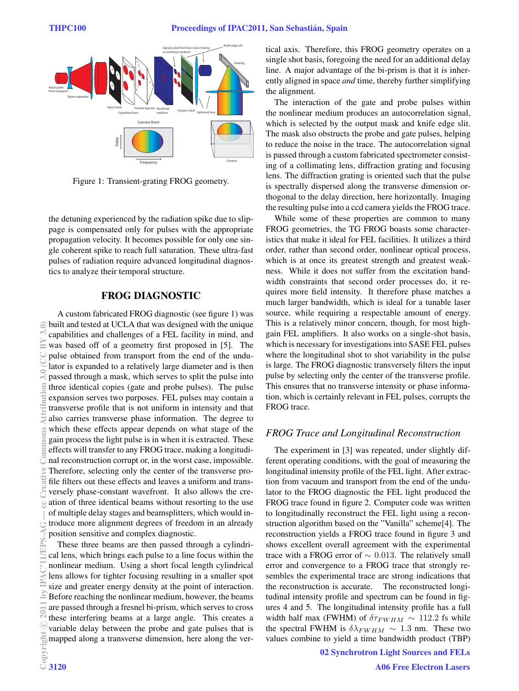

Figure 1: Transient-grating FROG geometry.

the detuning experienced by the radiation spike due to slippage is compensated only for pulses with the appropriate propagation velocity. It becomes possible for only one single coherent spike to reach full saturation. These ultra-fast pulses of radiation require advanced longitudinal diagnostics to analyze their temporal structure.

## FROG DIAGNOSTIC

A custom fabricated FROG diagnostic (see figure 1) was built and tested at UCLA that was designed with the unique capabilities and challenges of a FEL facility in mind, and was based off of a geometry first proposed in [5]. The pulse obtained from transport from the end of the undulator is expanded to a relatively large diameter and is then passed through a mask, which serves to split the pulse into three identical copies (gate and probe pulses). The pulse expansion serves two purposes. FEL pulses may contain a transverse profile that is not uniform in intensity and that also carries transverse phase information. The degree to which these effects appear depends on what stage of the gain process the light pulse is in when it is extracted. These effects will transfer to any FROG trace, making a longitudinal reconstruction corrupt or, in the worst case, impossible. Therefore, selecting only the center of the transverse profile filters out these effects and leaves a uniform and transversely phase-constant wavefront. It also allows the creation of three identical beams without resorting to the use of multiple delay stages and beamsplitters, which would introduce more alignment degrees of freedom in an already position sensitive and complex diagnostic. 2011 by IPAC'11/EPS-AG — cc Creative Commons Attribution 3.0 (CC BY 3.0)

These three beams are then passed through a cylindrical lens, which brings each pulse to a line focus within the nonlinear medium. Using a short focal length cylindrical lens allows for tighter focusing resulting in a smaller spot size and greater energy density at the point of interaction. Before reaching the nonlinear medium, however, the beams are passed through a fresnel bi-prism, which serves to cross these interfering beams at a large angle. This creates a variable delay between the probe and gate pulses that is mapped along a transverse dimension, here along the vertical axis. Therefore, this FROG geometry operates on a single shot basis, foregoing the need for an additional delay line. A major advantage of the bi-prism is that it is inherently aligned in space *and* time, thereby further simplifying the alignment.

The interaction of the gate and probe pulses within the nonlinear medium produces an autocorrelation signal, which is selected by the output mask and knife edge slit. The mask also obstructs the probe and gate pulses, helping to reduce the noise in the trace. The autocorrelation signal is passed through a custom fabricated spectrometer consisting of a collimating lens, diffraction grating and focusing lens. The diffraction grating is oriented such that the pulse is spectrally dispersed along the transverse dimension orthogonal to the delay direction, here horizontally. Imaging the resulting pulse into a ccd camera yields the FROG trace.

While some of these properties are common to many FROG geometries, the TG FROG boasts some characteristics that make it ideal for FEL facilities. It utilizes a third order, rather than second order, nonlinear optical process, which is at once its greatest strength and greatest weakness. While it does not suffer from the excitation bandwidth constraints that second order processes do, it requires more field intensity. It therefore phase matches a much larger bandwidth, which is ideal for a tunable laser source, while requiring a respectable amount of energy. This is a relatively minor concern, though, for most highgain FEL amplifiers. It also works on a single-shot basis, which is necessary for investigations into SASE FEL pulses where the longitudinal shot to shot variability in the pulse is large. The FROG diagnostic transversely filters the input pulse by selecting only the center of the transverse profile. This ensures that no transverse intensity or phase information, which is certainly relevant in FEL pulses, corrupts the FROG trace.

#### *FROG Trace and Longitudinal Reconstruction*

The experiment in [3] was repeated, under slightly different operating conditions, with the goal of measuring the longitudinal intensity profile of the FEL light. After extraction from vacuum and transport from the end of the undulator to the FROG diagnostic the FEL light produced the FROG trace found in figure 2. Computer code was written to longitudinally reconstruct the FEL light using a reconstruction algorithm based on the "Vanilla" scheme[4]. The reconstruction yields a FROG trace found in figure 3 and shows excellent overall agreement with the experimental trace with a FROG error of  $\sim$  0.013. The relatively small error and convergence to a FROG trace that strongly resembles the experimental trace are strong indications that the reconstruction is accurate. The reconstructed longitudinal intensity profile and spectrum can be found in figures 4 and 5. The longitudinal intensity profile has a full width half max (FWHM) of  $\delta \tau_{FWHM} \sim 112.2$  fs while the spectral FWHM is  $\delta\lambda_{FWHM} \sim 1.3$  nm. These two values combine to yield a time bandwidth product (TBP)